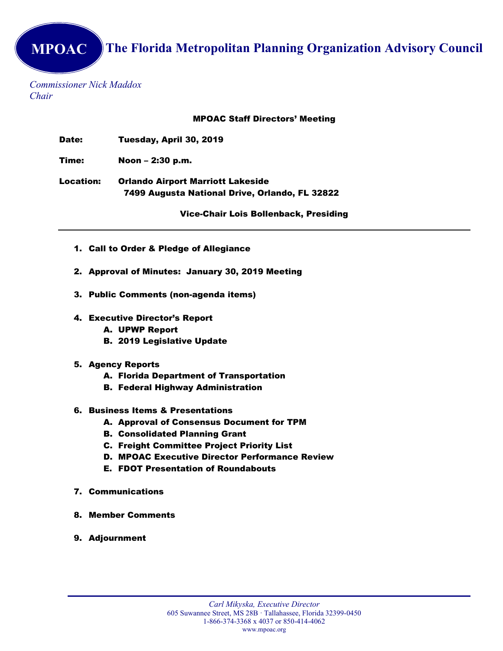MPOAC The Florida Metropolitan Planning Organization Advisory Council

Commissioner Nick Maddox Chair

MPOAC Staff Directors' Meeting

Date: Tuesday, April 30, 2019

Time: Noon – 2:30 p.m.

Location: Orlando Airport Marriott Lakeside 7499 Augusta National Drive, Orlando, FL 32822

Vice-Chair Lois Bollenback, Presiding

- 1. Call to Order & Pledge of Allegiance
- 2. Approval of Minutes: January 30, 2019 Meeting
- 3. Public Comments (non-agenda items)
- 4. Executive Director's Report
	- A. UPWP Report
	- B. 2019 Legislative Update
- 5. Agency Reports
	- A. Florida Department of Transportation
	- B. Federal Highway Administration
- 6. Business Items & Presentations
	- A. Approval of Consensus Document for TPM
	- B. Consolidated Planning Grant
	- C. Freight Committee Project Priority List
	- D. MPOAC Executive Director Performance Review
	- E. FDOT Presentation of Roundabouts
- 7. Communications
- 8. Member Comments
- 9. Adjournment